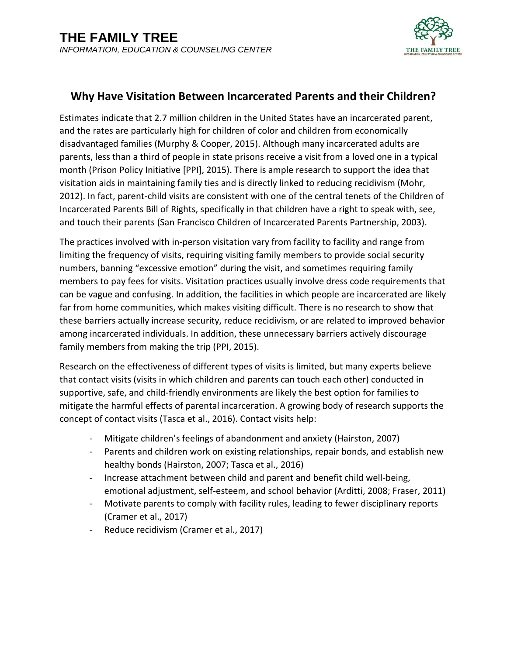

## **Why Have Visitation Between Incarcerated Parents and their Children?**

Estimates indicate that 2.7 million children in the United States have an incarcerated parent, and the rates are particularly high for children of color and children from economically disadvantaged families (Murphy & Cooper, 2015). Although many incarcerated adults are parents, less than a third of people in state prisons receive a visit from a loved one in a typical month (Prison Policy Initiative [PPI], 2015). There is ample research to support the idea that visitation aids in maintaining family ties and is directly linked to reducing recidivism (Mohr, 2012). In fact, parent-child visits are consistent with one of the central tenets of the Children of Incarcerated Parents Bill of Rights, specifically in that children have a right to speak with, see, and touch their parents (San Francisco Children of Incarcerated Parents Partnership, 2003).

The practices involved with in-person visitation vary from facility to facility and range from limiting the frequency of visits, requiring visiting family members to provide social security numbers, banning "excessive emotion" during the visit, and sometimes requiring family members to pay fees for visits. Visitation practices usually involve dress code requirements that can be vague and confusing. In addition, the facilities in which people are incarcerated are likely far from home communities, which makes visiting difficult. There is no research to show that these barriers actually increase security, reduce recidivism, or are related to improved behavior among incarcerated individuals. In addition, these unnecessary barriers actively discourage family members from making the trip (PPI, 2015).

Research on the effectiveness of different types of visits is limited, but many experts believe that contact visits (visits in which children and parents can touch each other) conducted in supportive, safe, and child-friendly environments are likely the best option for families to mitigate the harmful effects of parental incarceration. A growing body of research supports the concept of contact visits (Tasca et al., 2016). Contact visits help:

- Mitigate children's feelings of abandonment and anxiety (Hairston, 2007)
- Parents and children work on existing relationships, repair bonds, and establish new healthy bonds (Hairston, 2007; Tasca et al., 2016)
- Increase attachment between child and parent and benefit child well-being, emotional adjustment, self-esteem, and school behavior (Arditti, 2008; Fraser, 2011)
- Motivate parents to comply with facility rules, leading to fewer disciplinary reports (Cramer et al., 2017)
- Reduce recidivism (Cramer et al., 2017)